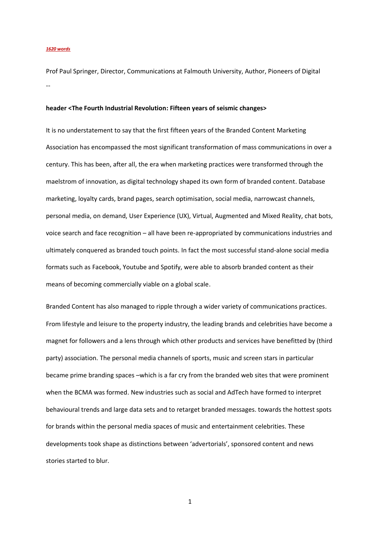## *1620 words*

Prof Paul Springer, Director, Communications at Falmouth University, Author, Pioneers of Digital --

## **header <The Fourth Industrial Revolution: Fifteen years of seismic changes>**

It is no understatement to say that the first fifteen years of the Branded Content Marketing Association has encompassed the most significant transformation of mass communications in over a century. This has been, after all, the era when marketing practices were transformed through the maelstrom of innovation, as digital technology shaped its own form of branded content. Database marketing, loyalty cards, brand pages, search optimisation, social media, narrowcast channels, personal media, on demand, User Experience (UX), Virtual, Augmented and Mixed Reality, chat bots, voice search and face recognition – all have been re-appropriated by communications industries and ultimately conquered as branded touch points. In fact the most successful stand-alone social media formats such as Facebook, Youtube and Spotify, were able to absorb branded content as their means of becoming commercially viable on a global scale.

Branded Content has also managed to ripple through a wider variety of communications practices. From lifestyle and leisure to the property industry, the leading brands and celebrities have become a magnet for followers and a lens through which other products and services have benefitted by (third party) association. The personal media channels of sports, music and screen stars in particular became prime branding spaces –which is a far cry from the branded web sites that were prominent when the BCMA was formed. New industries such as social and AdTech have formed to interpret behavioural trends and large data sets and to retarget branded messages. towards the hottest spots for brands within the personal media spaces of music and entertainment celebrities. These developments took shape as distinctions between 'advertorials', sponsored content and news stories started to blur.

1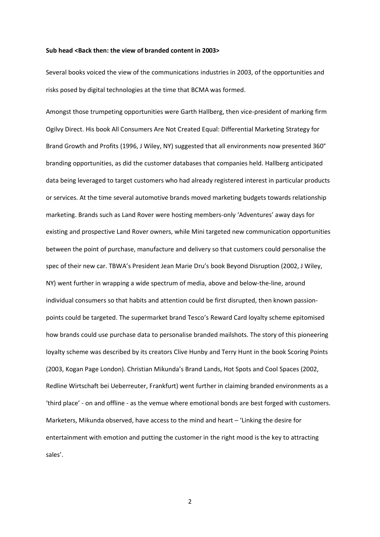## **Sub head <Back then: the view of branded content in 2003>**

Several books voiced the view of the communications industries in 2003, of the opportunities and risks posed by digital technologies at the time that BCMA was formed.

Amongst those trumpeting opportunities were Garth Hallberg, then vice-president of marking firm Ogilvy Direct. His book All Consumers Are Not Created Equal: Differential Marketing Strategy for Brand Growth and Profits (1996, J Wiley, NY) suggested that all environments now presented 360° branding opportunities, as did the customer databases that companies held. Hallberg anticipated data being leveraged to target customers who had already registered interest in particular products or services. At the time several automotive brands moved marketing budgets towards relationship marketing. Brands such as Land Rover were hosting members-only 'Adventures' away days for existing and prospective Land Rover owners, while Mini targeted new communication opportunities between the point of purchase, manufacture and delivery so that customers could personalise the spec of their new car. TBWA's President Jean Marie Dru's book Beyond Disruption (2002, J Wiley, NY) went further in wrapping a wide spectrum of media, above and below-the-line, around individual consumers so that habits and attention could be first disrupted, then known passionpoints could be targeted. The supermarket brand Tesco's Reward Card loyalty scheme epitomised how brands could use purchase data to personalise branded mailshots. The story of this pioneering loyalty scheme was described by its creators Clive Hunby and Terry Hunt in the book Scoring Points (2003, Kogan Page London). Christian Mikunda's Brand Lands, Hot Spots and Cool Spaces (2002, Redline Wirtschaft bei Ueberreuter, Frankfurt) went further in claiming branded environments as a 'third place' - on and offline - as the vemue where emotional bonds are best forged with customers. Marketers, Mikunda observed, have access to the mind and heart – 'Linking the desire for entertainment with emotion and putting the customer in the right mood is the key to attracting sales'.

2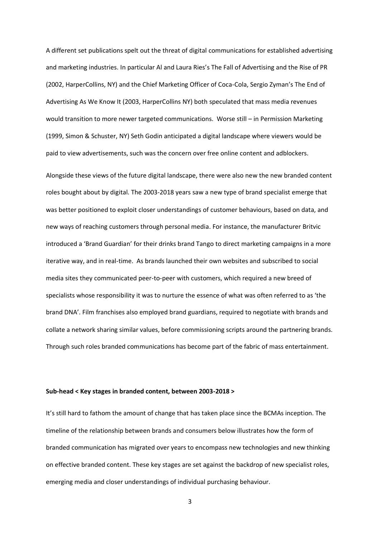A different set publications spelt out the threat of digital communications for established advertising and marketing industries. In particular Al and Laura Ries's The Fall of Advertising and the Rise of PR (2002, HarperCollins, NY) and the Chief Marketing Officer of Coca-Cola, Sergio Zyman's The End of Advertising As We Know It (2003, HarperCollins NY) both speculated that mass media revenues would transition to more newer targeted communications. Worse still – in Permission Marketing (1999, Simon & Schuster, NY) Seth Godin anticipated a digital landscape where viewers would be paid to view advertisements, such was the concern over free online content and adblockers.

Alongside these views of the future digital landscape, there were also new the new branded content roles bought about by digital. The 2003-2018 years saw a new type of brand specialist emerge that was better positioned to exploit closer understandings of customer behaviours, based on data, and new ways of reaching customers through personal media. For instance, the manufacturer Britvic introduced a 'Brand Guardian' for their drinks brand Tango to direct marketing campaigns in a more iterative way, and in real-time. As brands launched their own websites and subscribed to social media sites they communicated peer-to-peer with customers, which required a new breed of specialists whose responsibility it was to nurture the essence of what was often referred to as 'the brand DNA'. Film franchises also employed brand guardians, required to negotiate with brands and collate a network sharing similar values, before commissioning scripts around the partnering brands. Through such roles branded communications has become part of the fabric of mass entertainment.

## **Sub-head < Key stages in branded content, between 2003-2018 >**

It's still hard to fathom the amount of change that has taken place since the BCMAs inception. The timeline of the relationship between brands and consumers below illustrates how the form of branded communication has migrated over years to encompass new technologies and new thinking on effective branded content. These key stages are set against the backdrop of new specialist roles, emerging media and closer understandings of individual purchasing behaviour.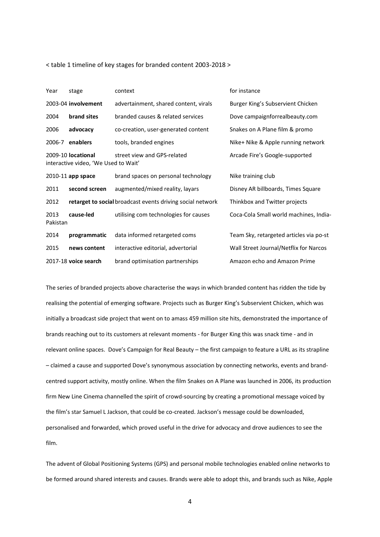< table 1 timeline of key stages for branded content 2003-2018 >

| Year             | stage                                                      | context                                                    | for instance                            |
|------------------|------------------------------------------------------------|------------------------------------------------------------|-----------------------------------------|
|                  | 2003-04 involvement                                        | advertainment, shared content, virals                      | Burger King's Subservient Chicken       |
| 2004             | brand sites                                                | branded causes & related services                          | Dove campaignforrealbeauty.com          |
| 2006             | advocacy                                                   | co-creation, user-generated content                        | Snakes on A Plane film & promo          |
|                  | 2006-7 enablers                                            | tools, branded engines                                     | Nike+ Nike & Apple running network      |
|                  | 2009-10 locational<br>interactive video, 'We Used to Wait' | street view and GPS-related                                | Arcade Fire's Google-supported          |
|                  | 2010-11 app space                                          | brand spaces on personal technology                        | Nike training club                      |
| 2011             | second screen                                              | augmented/mixed reality, layars                            | Disney AR billboards, Times Square      |
| 2012             |                                                            | retarget to social broadcast events driving social network | Thinkbox and Twitter projects           |
| 2013<br>Pakistan | cause-led                                                  | utilising com technologies for causes                      | Coca-Cola Small world machines, India-  |
| 2014             | programmatic                                               | data informed retargeted coms                              | Team Sky, retargeted articles via po-st |
| 2015             | news content                                               | interactive editorial, advertorial                         | Wall Street Journal/Netflix for Narcos  |
|                  | 2017-18 voice search                                       | brand optimisation partnerships                            | Amazon echo and Amazon Prime            |

The series of branded projects above characterise the ways in which branded content has ridden the tide by realising the potential of emerging software. Projects such as Burger King's Subservient Chicken, which was initially a broadcast side project that went on to amass 459 million site hits, demonstrated the importance of brands reaching out to its customers at relevant moments - for Burger King this was snack time - and in relevant online spaces. Dove's Campaign for Real Beauty – the first campaign to feature a URL as its strapline – claimed a cause and supported Dove's synonymous association by connecting networks, events and brandcentred support activity, mostly online. When the film Snakes on A Plane was launched in 2006, its production firm New Line Cinema channelled the spirit of crowd-sourcing by creating a promotional message voiced by the film's star Samuel L Jackson, that could be co-created. Jackson's message could be downloaded, personalised and forwarded, which proved useful in the drive for advocacy and drove audiences to see the film.

The advent of Global Positioning Systems (GPS) and personal mobile technologies enabled online networks to be formed around shared interests and causes. Brands were able to adopt this, and brands such as Nike, Apple